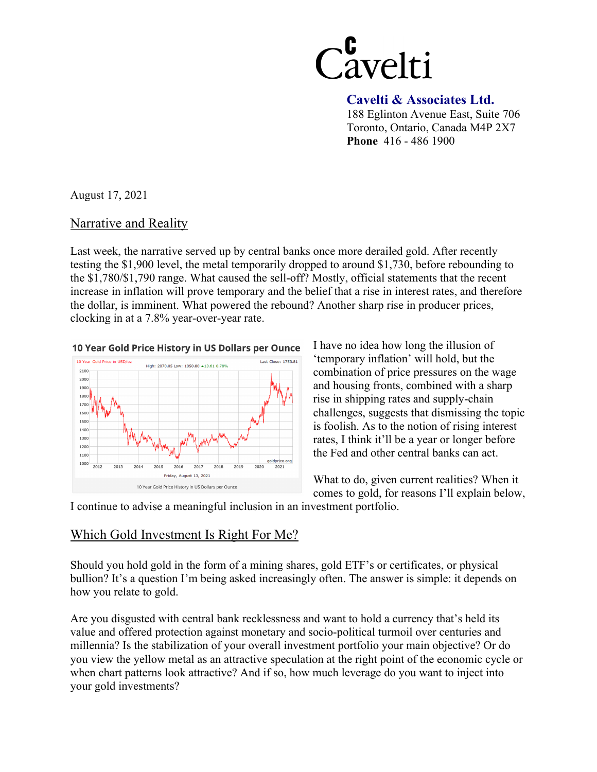

 **Cavelti & Associates Ltd.**  188 Eglinton Avenue East, Suite 706

Toronto, Ontario, Canada M4P 2X7 **Phone** 416 - 486 1900

August 17, 2021

## Narrative and Reality

Last week, the narrative served up by central banks once more derailed gold. After recently testing the \$1,900 level, the metal temporarily dropped to around \$1,730, before rebounding to the \$1,780/\$1,790 range. What caused the sell-off? Mostly, official statements that the recent increase in inflation will prove temporary and the belief that a rise in interest rates, and therefore the dollar, is imminent. What powered the rebound? Another sharp rise in producer prices, clocking in at a 7.8% year-over-year rate.

10 Year Gold Price History in US Dollars per Ounce



I have no idea how long the illusion of 'temporary inflation' will hold, but the combination of price pressures on the wage and housing fronts, combined with a sharp rise in shipping rates and supply-chain challenges, suggests that dismissing the topic is foolish. As to the notion of rising interest rates, I think it'll be a year or longer before the Fed and other central banks can act.

What to do, given current realities? When it comes to gold, for reasons I'll explain below,

I continue to advise a meaningful inclusion in an investment portfolio.

## Which Gold Investment Is Right For Me?

Should you hold gold in the form of a mining shares, gold ETF's or certificates, or physical bullion? It's a question I'm being asked increasingly often. The answer is simple: it depends on how you relate to gold.

Are you disgusted with central bank recklessness and want to hold a currency that's held its value and offered protection against monetary and socio-political turmoil over centuries and millennia? Is the stabilization of your overall investment portfolio your main objective? Or do you view the yellow metal as an attractive speculation at the right point of the economic cycle or when chart patterns look attractive? And if so, how much leverage do you want to inject into your gold investments?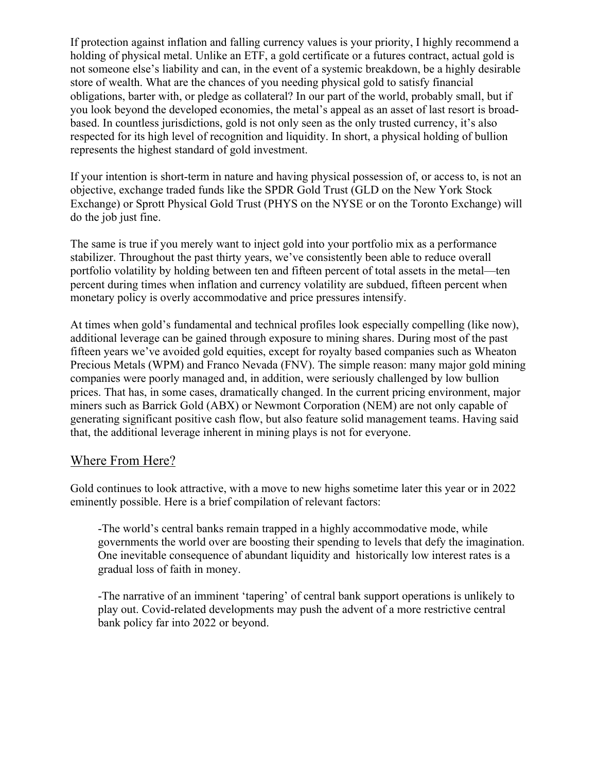If protection against inflation and falling currency values is your priority, I highly recommend a holding of physical metal. Unlike an ETF, a gold certificate or a futures contract, actual gold is not someone else's liability and can, in the event of a systemic breakdown, be a highly desirable store of wealth. What are the chances of you needing physical gold to satisfy financial obligations, barter with, or pledge as collateral? In our part of the world, probably small, but if you look beyond the developed economies, the metal's appeal as an asset of last resort is broadbased. In countless jurisdictions, gold is not only seen as the only trusted currency, it's also respected for its high level of recognition and liquidity. In short, a physical holding of bullion represents the highest standard of gold investment.

If your intention is short-term in nature and having physical possession of, or access to, is not an objective, exchange traded funds like the SPDR Gold Trust (GLD on the New York Stock Exchange) or Sprott Physical Gold Trust (PHYS on the NYSE or on the Toronto Exchange) will do the job just fine.

The same is true if you merely want to inject gold into your portfolio mix as a performance stabilizer. Throughout the past thirty years, we've consistently been able to reduce overall portfolio volatility by holding between ten and fifteen percent of total assets in the metal—ten percent during times when inflation and currency volatility are subdued, fifteen percent when monetary policy is overly accommodative and price pressures intensify.

At times when gold's fundamental and technical profiles look especially compelling (like now), additional leverage can be gained through exposure to mining shares. During most of the past fifteen years we've avoided gold equities, except for royalty based companies such as Wheaton Precious Metals (WPM) and Franco Nevada (FNV). The simple reason: many major gold mining companies were poorly managed and, in addition, were seriously challenged by low bullion prices. That has, in some cases, dramatically changed. In the current pricing environment, major miners such as Barrick Gold (ABX) or Newmont Corporation (NEM) are not only capable of generating significant positive cash flow, but also feature solid management teams. Having said that, the additional leverage inherent in mining plays is not for everyone.

## Where From Here?

Gold continues to look attractive, with a move to new highs sometime later this year or in 2022 eminently possible. Here is a brief compilation of relevant factors:

-The world's central banks remain trapped in a highly accommodative mode, while governments the world over are boosting their spending to levels that defy the imagination. One inevitable consequence of abundant liquidity and historically low interest rates is a gradual loss of faith in money.

-The narrative of an imminent 'tapering' of central bank support operations is unlikely to play out. Covid-related developments may push the advent of a more restrictive central bank policy far into 2022 or beyond.